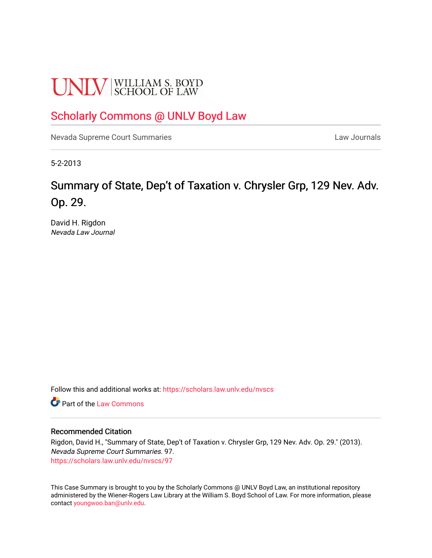# **UNLV** SCHOOL OF LAW

### [Scholarly Commons @ UNLV Boyd Law](https://scholars.law.unlv.edu/)

[Nevada Supreme Court Summaries](https://scholars.law.unlv.edu/nvscs) **Law Journals** Law Journals

5-2-2013

## Summary of State, Dep't of Taxation v. Chrysler Grp, 129 Nev. Adv. Op. 29.

David H. Rigdon Nevada Law Journal

Follow this and additional works at: [https://scholars.law.unlv.edu/nvscs](https://scholars.law.unlv.edu/nvscs?utm_source=scholars.law.unlv.edu%2Fnvscs%2F97&utm_medium=PDF&utm_campaign=PDFCoverPages)

**C** Part of the [Law Commons](http://network.bepress.com/hgg/discipline/578?utm_source=scholars.law.unlv.edu%2Fnvscs%2F97&utm_medium=PDF&utm_campaign=PDFCoverPages)

#### Recommended Citation

Rigdon, David H., "Summary of State, Dep't of Taxation v. Chrysler Grp, 129 Nev. Adv. Op. 29." (2013). Nevada Supreme Court Summaries. 97. [https://scholars.law.unlv.edu/nvscs/97](https://scholars.law.unlv.edu/nvscs/97?utm_source=scholars.law.unlv.edu%2Fnvscs%2F97&utm_medium=PDF&utm_campaign=PDFCoverPages) 

This Case Summary is brought to you by the Scholarly Commons @ UNLV Boyd Law, an institutional repository administered by the Wiener-Rogers Law Library at the William S. Boyd School of Law. For more information, please contact [youngwoo.ban@unlv.edu](mailto:youngwoo.ban@unlv.edu).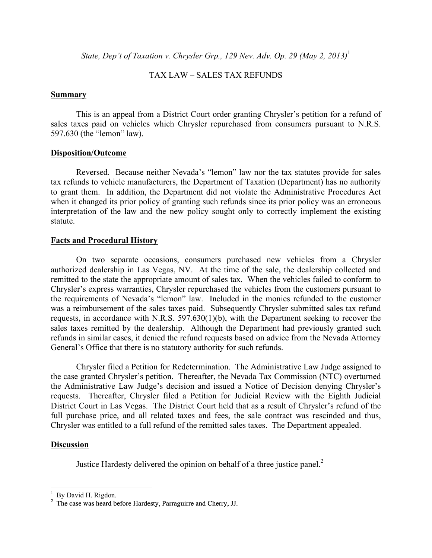*State, Dep't of Taxation v. Chrysler Grp., 129 Nev. Adv. Op. 29 (May 2, 2013)*<sup>1</sup>

#### TAX LAW – SALES TAX REFUNDS

#### **Summary**

This is an appeal from a District Court order granting Chrysler's petition for a refund of sales taxes paid on vehicles which Chrysler repurchased from consumers pursuant to N.R.S. 597.630 (the "lemon" law).

#### **Disposition/Outcome**

Reversed. Because neither Nevada's "lemon" law nor the tax statutes provide for sales tax refunds to vehicle manufacturers, the Department of Taxation (Department) has no authority to grant them. In addition, the Department did not violate the Administrative Procedures Act when it changed its prior policy of granting such refunds since its prior policy was an erroneous interpretation of the law and the new policy sought only to correctly implement the existing statute.

#### **Facts and Procedural History**

On two separate occasions, consumers purchased new vehicles from a Chrysler authorized dealership in Las Vegas, NV. At the time of the sale, the dealership collected and remitted to the state the appropriate amount of sales tax. When the vehicles failed to conform to Chrysler's express warranties, Chrysler repurchased the vehicles from the customers pursuant to the requirements of Nevada's "lemon" law. Included in the monies refunded to the customer was a reimbursement of the sales taxes paid. Subsequently Chrysler submitted sales tax refund requests, in accordance with N.R.S. 597.630(1)(b), with the Department seeking to recover the sales taxes remitted by the dealership. Although the Department had previously granted such refunds in similar cases, it denied the refund requests based on advice from the Nevada Attorney General's Office that there is no statutory authority for such refunds.

Chrysler filed a Petition for Redetermination. The Administrative Law Judge assigned to the case granted Chrysler's petition. Thereafter, the Nevada Tax Commission (NTC) overturned the Administrative Law Judge's decision and issued a Notice of Decision denying Chrysler's requests. Thereafter, Chrysler filed a Petition for Judicial Review with the Eighth Judicial District Court in Las Vegas. The District Court held that as a result of Chrysler's refund of the full purchase price, and all related taxes and fees, the sale contract was rescinded and thus, Chrysler was entitled to a full refund of the remitted sales taxes. The Department appealed.

#### **Discussion**

Justice Hardesty delivered the opinion on behalf of a three justice panel.<sup>2</sup>

 $<sup>1</sup>$  By David H. Rigdon.</sup>

<sup>&</sup>lt;sup>2</sup> The case was heard before Hardesty, Parraguirre and Cherry, JJ.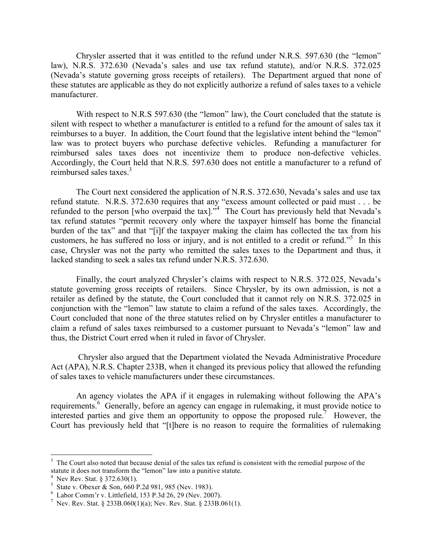Chrysler asserted that it was entitled to the refund under N.R.S. 597.630 (the "lemon" law), N.R.S. 372.630 (Nevada's sales and use tax refund statute), and/or N.R.S. 372.025 (Nevada's statute governing gross receipts of retailers). The Department argued that none of these statutes are applicable as they do not explicitly authorize a refund of sales taxes to a vehicle manufacturer.

With respect to N.R.S 597.630 (the "lemon" law), the Court concluded that the statute is silent with respect to whether a manufacturer is entitled to a refund for the amount of sales tax it reimburses to a buyer. In addition, the Court found that the legislative intent behind the "lemon" law was to protect buyers who purchase defective vehicles. Refunding a manufacturer for reimbursed sales taxes does not incentivize them to produce non-defective vehicles. Accordingly, the Court held that N.R.S. 597.630 does not entitle a manufacturer to a refund of reimbursed sales taxes.<sup>3</sup>

The Court next considered the application of N.R.S. 372.630, Nevada's sales and use tax refund statute. N.R.S. 372.630 requires that any "excess amount collected or paid must . . . be refunded to the person [who overpaid the tax]."<sup>4</sup> The Court has previously held that Nevada's tax refund statutes "permit recovery only where the taxpayer himself has borne the financial burden of the tax" and that "[i]f the taxpayer making the claim has collected the tax from his customers, he has suffered no loss or injury, and is not entitled to a credit or refund."<sup>5</sup> In this case, Chrysler was not the party who remitted the sales taxes to the Department and thus, it lacked standing to seek a sales tax refund under N.R.S. 372.630.

Finally, the court analyzed Chrysler's claims with respect to N.R.S. 372.025, Nevada's statute governing gross receipts of retailers. Since Chrysler, by its own admission, is not a retailer as defined by the statute, the Court concluded that it cannot rely on N.R.S. 372.025 in conjunction with the "lemon" law statute to claim a refund of the sales taxes. Accordingly, the Court concluded that none of the three statutes relied on by Chrysler entitles a manufacturer to claim a refund of sales taxes reimbursed to a customer pursuant to Nevada's "lemon" law and thus, the District Court erred when it ruled in favor of Chrysler.

Chrysler also argued that the Department violated the Nevada Administrative Procedure Act (APA), N.R.S. Chapter 233B, when it changed its previous policy that allowed the refunding of sales taxes to vehicle manufacturers under these circumstances.

An agency violates the APA if it engages in rulemaking without following the APA's requirements.<sup>6</sup> Generally, before an agency can engage in rulemaking, it must provide notice to interested parties and give them an opportunity to oppose the proposed rule.<sup>7</sup> However, the Court has previously held that "[t]here is no reason to require the formalities of rulemaking

 <sup>3</sup>  $3\text{ The Court also noted that because denial of the sales tax refund is consistent with the remedial purpose of the$ statute it does not transform the "lemon" law into a punitive statute.<br> $4$  Nev Rev. Stat. § 372.630(1).

<sup>&</sup>lt;sup>4</sup> Nev Rev. Stat. § 372.630(1).

State v. Obexer & Son, 660 P.2d 981, 985 (Nev. 1983).

 $6$  Labor Comm'r v. Littlefield, 153 P.3d 26, 29 (Nev. 2007).

<sup>&</sup>lt;sup>7</sup> Nev. Rev. Stat. § 233B.060(1)(a); Nev. Rev. Stat. § 233B.061(1).